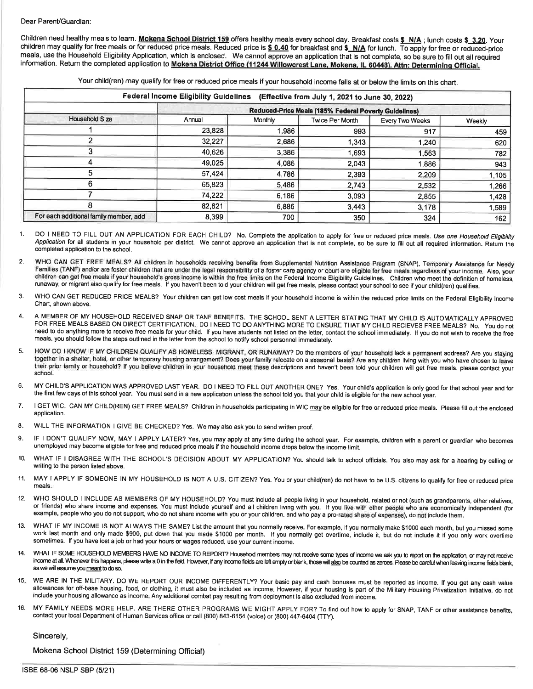#### Dear Parent/Guardian:

Children need healthy meals to learn. Mokena School District 159 offers healthy meals every school day. Breakfast costs \$\_N/A; lunch costs \$-3.20. Your children may qualify for free meals or for reduced price meals. Reduced price is \$ 0.40 for breakfast and \$\_N/A for lunch. To apply for free or reduced-price meals, use the Household Eligibility Application, which is enclosed. We cannot approve an application that is not complete, so be sure to fill out all required information. Return the completed application to Mokena District Office (11244 Willowcrest Lane, Mokena, IL 60448). Attn: Determining Official.

Your child(ren) may qualify for free or reduced price meals if your household income falls at or below the limits on this chart.

| <b>Federal Income Eligibility Guidelines</b><br>(Effective from July 1, 2021 to June 30, 2022) |                                                       |         |                 |                 |        |  |  |  |  |  |
|------------------------------------------------------------------------------------------------|-------------------------------------------------------|---------|-----------------|-----------------|--------|--|--|--|--|--|
|                                                                                                | Reduced-Price Meals (185% Federal Poverty Guldelines) |         |                 |                 |        |  |  |  |  |  |
| <b>Household Size</b>                                                                          | Annual                                                | Monthly | Twice Per Month | Every Two Weeks | Weekly |  |  |  |  |  |
|                                                                                                | 23,828                                                | 1,986   | 993             | 917             | 459    |  |  |  |  |  |
|                                                                                                | 32,227                                                | 2,686   | 1,343           | 1.240           | 620    |  |  |  |  |  |
|                                                                                                | 40,626                                                | 3.386   | 1,693           | 1.563           | 782    |  |  |  |  |  |
|                                                                                                | 49,025                                                | 4,086   | 2,043           | .886            | 943    |  |  |  |  |  |
|                                                                                                | 57,424                                                | 4.786   | 2,393           | 2,209           | 1,105  |  |  |  |  |  |
|                                                                                                | 65,823                                                | 5,486   | 2,743           | 2,532           | 1,266  |  |  |  |  |  |
|                                                                                                | 74,222                                                | 6,186   | 3,093           | 2,855           | 1,428  |  |  |  |  |  |
|                                                                                                | 82,621                                                | 6,886   | 3,443           | 3,178           | 1,589  |  |  |  |  |  |
| For each additional family member, add                                                         | 8,399                                                 | 700     | 350             | 324             | 162    |  |  |  |  |  |

DO I NEED TO FILL OUT AN APPLICATION FOR EACH CHILD? No. Complete the application to apply for free or reduced price meals. Use one Household Eligibility Application for all students in your household per district. We cannot approve an application that is not complete, so be sure to fill out all required information. Return the completed application to the school.

- 2. WHO CAN GET FREE MEALS? All children in households receiving benefits from Supplemental Nutrition Assistance Program (SNAP), Temporary Assistance for Needy<br>Families (TANF) and/or are foster children that are under the l children can get free meals if your household's gross income is within the free limits on the Federal Income Eligibility Guidelines. Children who meet the definition of homeless, runaway, or migrant also qualifies. If your
- 3. WHO CAN GET REDUCED PRICE MEALS? Your children can get low cost meals if your household income is within the reduced price limits on the Federal Eligibility Income Chart, shown above.
- 4. A MEMBER OF MY HOUSEHOLD RECEIVED SNAP OR TANF BENEFITS. THE SCHOOL SENT A LETTER STATING THAT MY CHILD IS AUTOMATICALLY APPROVED FOR FREE MEALS BASED ON DIRECT CERTIFICATION. DO I NEED TO DO ANYTHING MORE TO ENSURE THAT MY CHILD RECIEVES FREE MEALS? No. You do not need to do anything more to receive free meals for your child. If you have students not listed on the letter, contact the school immediately. If you do not wish to receive the free meals, you should follow the steps outlined in the letter from the school to notify school personnel immediately.
- 5. HOW DO I KNOW lF MY CHILDREN QUALIFY AS HOMELESS, MIGRANT, OR RUNAWAY? Do the members of your household lack a permanent address? Are you staying together in a shelter, hotel, or other temporary housing arrangement? Does your family relocate on a seasonal basis? Are any children living with you who have chosen to leave their prior family or household? lf you believe children in your household meet these descriptions and haven't been told your children wilfget free meals, please contact your school.
- 6. MY CHILD'S APPLICATION WAS APPROVED LAST YEAR. DO I NEED TO FILL OUT ANOTHER ONE? Yes. Your child's application is only good for that school year and for the first few days of this school year. You must send in a new application unless the school told you that your child is eligible for the new school-year.
- 7. I GET WIC. CAN MY CHILD(REN) GET FREE MEALS? Children in households participating in WIC may be eligible for free or reduced price meals. Please fill out the enclosed application.
- 8. WILL THE INFORMATION I GIVE BE CHECKED? Yes. We may also ask you to send written proof.
- 9. IF I DON'T QUALIFY NOW, MAY I APPLY LATER? Yes, you may apply at any time during the school year. For example, children with a parent or guardian who becomes unemployed may become eligible for free and reduced price meals if the household income drops below the income limit.
- 10. WHAT IF I DISAGREE WITH THE SCHOOL'S DECISION ABOUT MY APPLICATION? You should talk to school officials. You also may ask for a hearing by calling or writing to the person listed above.
- 11. MAY I APPLY IF SOMEONE IN MY HOUSEHOLD IS NOT A U.S. CITIZEN? Yes. You or your child(ren) do not have to be U.S. citizens to qualify for free or reduced price meals.
- 12. WHO SHOULD I INCLUDE AS MEMBERS OF MY HOUSEHOLD? You must include all people living in your household, related or not (such as grandparents, other relatives, or friends) who share income and expenses. You must include yourself and all children living with you. If you live with other people who are economically independent (for example, people who you do not support, who do not share income with you or your children, and who pay a pro-rated share of expenses), do not include them.
- 13. WHAT IF MY INCOME IS NOT ALWAYS THE SAME? List the amount that you normally receive. For example, if you normally make \$1000 each month, but you missed some work last month and only made \$900, put down that you made \$1 sometimes. lf you have lost a job or had your hours or wages reduced, use your current income.
- WHAT IF SOME HOUSEHOLD MEMBERS HAVE NO INCOME TO REPORT? Household members may not receive some types of income we ask you to report on the application, or may not receive 14. income at all. Whenever this happens, please write a 0 in the field. However, if any income fields are left empty or blank, those will also be counted as zeroes. Please be careful when leaving income fields blank, as we wi
- 15. WE ARE IN THE MILITARY. DO WE REPORT OUR INCOME DIFFERENTLY? Your basic pay and cash bonuses must be reported as income. If you get any cash value<br>allowances for off-base housing, food, or clothing, it must also be inc include your housing allowance as income. Any additional combat pay resulting from deployment is also excluded from income.
- 16. MY FAMILY NEEDS MORE HELP. ARE THERE OTHER PROGRAMS WE MIGHT APPLY FOR? To find out how to apply for SNAP, TANF or other assistance benefits, contact your local Department of Human Services office or call (800) 843-6154 (voice) or (800) 447-6404 (TTY).

### Sincerely,

Mokena School District 159 (Determining Official)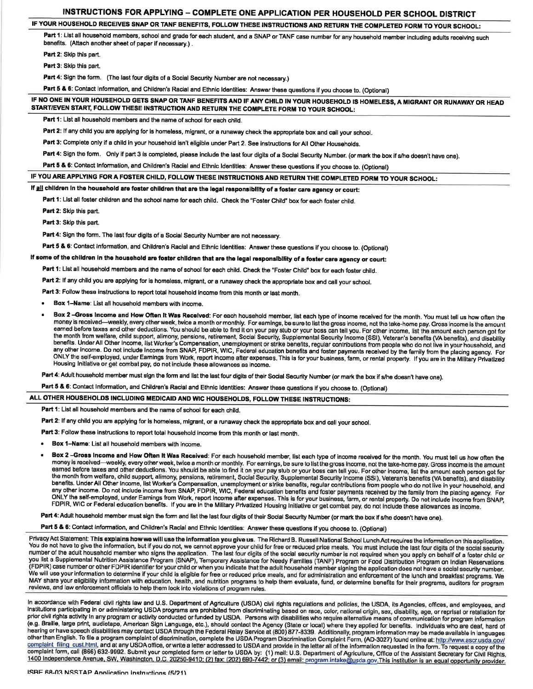# INSTRUCTIONS FOR APPLYING - COMPLETE ONE APPLICATION PER HOUSEHOLD PER SCHOOL DISTRICT

# IF YOUR HOUSEHOLD RECEIVES SNAP OR TANF BENEFITS, FOLLOW THESE INSTRUCTIONS AND RETURN THE COMPLETED FORM TO YOUR SGHOOL:

Part 1: List all household members, school and grade for each student, and a SNAP or TANF case number for any household member including adults receiving such benefits. (Attach another sheet of paper if necessary.) .

Part 2: Skip this part.

Part 3: Skip this part.

Part 4: Sign the form. (The last four digits of a Social Security Number are not necessary.)

Part 5 & 6: Contact Information, and Children's Racial and Ethnic Identities: Answer these questions if you choose to. (Optional)

#### IF NO ONE IN YOUR HOUSEHOLD GETS SNAP OR TANF BENEFITS AND !F ANY CHILD IN YOUR HOUSEHOLD IS HOMELESS, A MIGRANT OR RUNAWAY OR HEAD START/EVEN START, FOLLOW THESE INSTRUCTION AND RETURN THE COMPLETE FORM TO YOUR SCHOOL:

Part 1: List all household members and the name of school for each child.

Part 2: If any child you are applying for is homeless, migrant, or a runaway check the appropriate box and call your school.

Part 3: Complete only if a child in your household isn't eligible under Part 2. See instructions for All Other Households.

Part 4: Sign the form. Only if part 3 is completed, please include the last four digits of a Social Security Number. (or mark the box if s/he doesn't have one).

Part 5 & 6: Contact Information, and Children's Racial and Ethnic Identities: Answer these questions if you choose to. (Optional)

## IF YOU ARE APPLYING FOR A FOSTER CHILD, FOLLOW THESE INSTRUCTIONS AND RETURN THE COMPLETED FORM TO YOUR SCHOOL:

## If all children in the household are foster children that are the legal responsibility of a foster care agency or court:

Part 1: List all foster children and the school name for each child. Check the "Foster Child" box for each foster child.

Part 2: Skip this part.

Part 3: Skip this part.

Part 4: Sign the form. The last four digits of a Social Security Number are not necessary.

Part 5 & 6: Contact Information, and Children's Racial and Ethnic Identities: Answer these questions if you choose to. (Optional)

If some of the children in the household are foster children that are the legal responsibility of a foster care agency or court:

Part 1: List all household members and the name of school for each child. Check the 'Foster Child" box for each foster child.

Part 2: If any child you are applying for is homeless, migrant, or a runaway check the appropriate box and call your school.

Part 3: Follow these instructions to report total household income from this month or last month.

Box 1-Name: List all household members with income.

Box 2-Gross Income and How Often It Was Received: For each household member, list each type of income received for the month. You must tell us how often the money is received-weekly, every other week, twice a month or monthly. For earnings, be sure to list the gross income, not the take-home pay. Gross income is the amount earned before taxes and other deductions. You should be able to find it on your pay stub or your boss can tell you. For other income, list the amount each person got for the month from welfare, child support, alimony, pensions, retirement, Social Security, Supplemental Security Income (SSI), Veteran's benefits (VA benefits), and disability benefits. Under All Other Income, list Worker's Co any other income. Do not include income from SNAP, FDPIR, WIC, Federal education benefits and foster payments received by the family from the placing agency. For ONLY the self-employed, under Eamings from Work, report income after expenses. This is for your business, farm, or rental property. If you are in the Military Privatized Housing lnitiative or get combat pay, do not include these allowances as income.

Part 4: Adult household member must sign the form and list the last four digits of their Social Security Number (or mark the box if s/he doesn't have one).

Part 5 & 6: Contact Information, and Children's Racial and Ethnic Identities: Answer these questions if you choose to. (Optional)

ALL OTHER HOUSEHOLDS INCLUDING MEDICAID AND WIC HOUSEHOLDS, FOLLOW THESE INSTRUCTIONS:

Part 1: List all household members and the name of school for each child.

Part 2: If any child you are applying for is homeless, migrant, or a runaway check the appropriate box and call your school.

Part 3: Follow these instructions to report total household income from this month or last month.

. Box l-Name: List all household members with income.

Box 2-Gross Income and How Often It Was Received: For each household member, list each type of income received for the month. You must tell us how often the money is received-weekly, every other week, twice a month or monthly. For earnings, be sure to list the gross income, not the take-home pay. Gross income is the amount earned before taxes and other deductions. You should be able to find it on your pay stub or your boss can tell you. For other income, list the amount each person got for<br>the month from welfare, child support, alimony, pens benefits. Under All Other Income, list Worker's Compensation, unemployment or strike benefits, regular contributions from people who do not live in your household, and any other income. Do not include income from SNAP, FDPIR, WIC, Federal education benefits and foster payments received by the family from the placing agency. For<br>ONLY the self-employed, under Earnings from Work, report inc FDPIR, WIC or Federal education benefits. If you are in the Military Privatized Housing Initiative or get combat pay, do not include these allowances as income.

Part 4: Adult household member must sign the form and list the last four digits of their Social Security Number (or mark the box if s/he doesn't have one).

Part 5 & 6: Contact information, and Children's Racial and Ethnic Identities: Answer these questions if you choose to. (Optional)

Privacy Act Statement: This explains how we will use the information you give us. The Richard B. Russell National School Lunch Act requires the information on this application. You do not have to give the information, but if you do not, we cannot approve your child for free or reduced price meals. You must include the last four digits of the social security number of the adult household member who signs the application. The last four digits of the social security number is not required when you apply on behalf of a foster child or<br>you list a Supplemental Nutrition Assistance (FDPIR) case number or other FDPIR identifier for your child or when you indicate that the adult household member signing the application does not have a social security number.<br>We will use your information to determine if reviews, and law enforcement officials to help them look into violations of program rules.

In accordance with Federal civil rights law and U.S. Department of Agriculture (USDA) civil rights regulations and policies, the USDA, its Agencies, offices, and employees, and institutions participating in or administering USDA programs are prohibited from discriminating based on race, color, national origin, sex, disability, age, or reprisal or retaliation for prior civil rights activity in any program or activity conducted or funded by USDA. Persons with disabilities who require alternative means of communication for program information (e.g. Braille, large print, audiotape, American Sign Language, etc.), should contact the Agency (State or local) where they applied for benefits. Individuals who are deaf, hard of hearing or have speech disabilities may contact USDA through the Federal Relay Service at (800) 877-8339. Additionally, program information may be made available in languages other than English. To file a program complaint of discrimination, complete the USDA Program Discrimination Complaint Form, (AD-3027) found online at: http://www.ascr.usda.gov/<br>complaint-filing cust.html, and at any USDA o 1400 Independence Avenue, SW, Washington, D.C. 20250-9410; (2) fax: (202) 690-7442; or (3) email: program.intake@usda.gov.This institution is an equal opportunity provider.